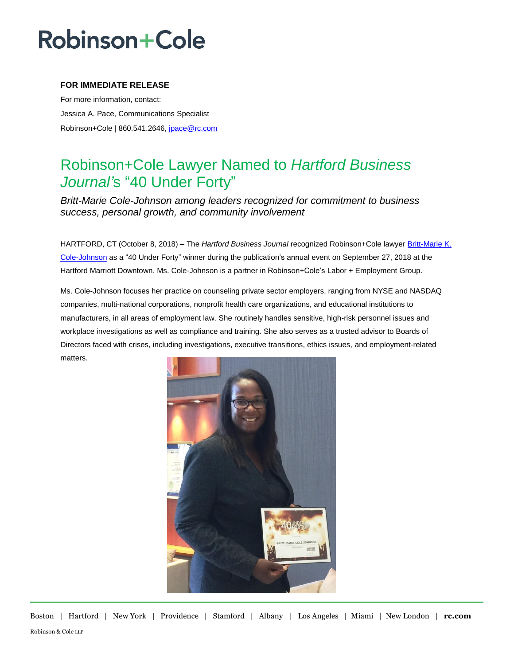# **Robinson+Cole**

### **FOR IMMEDIATE RELEASE**

For more information, contact: Jessica A. Pace, Communications Specialist Robinson+Cole | 860.541.2646, [jpace@rc.com](mailto:jpace@rc.com)

### Robinson+Cole Lawyer Named to *Hartford Business Journal'*s "40 Under Forty"

*Britt-Marie Cole-Johnson among leaders recognized for commitment to business success, personal growth, and community involvement*

HARTFORD, CT (October 8, 2018) – The *Hartford Business Journal* recognized Robinson+Cole lawyer [Britt-Marie K.](http://www.rc.com/people/Britt-MarieKCole-Johnson.cfm)  [Cole-Johnson](http://www.rc.com/people/Britt-MarieKCole-Johnson.cfm) as a "40 Under Forty" winner during the publication's annual event on September 27, 2018 at the Hartford Marriott Downtown. Ms. Cole-Johnson is a partner in Robinson+Cole's Labor + Employment Group.

Ms. Cole-Johnson focuses her practice on counseling private sector employers, ranging from NYSE and NASDAQ companies, multi-national corporations, nonprofit health care organizations, and educational institutions to manufacturers, in all areas of employment law. She routinely handles sensitive, high-risk personnel issues and workplace investigations as well as compliance and training. She also serves as a trusted advisor to Boards of Directors faced with crises, including investigations, executive transitions, ethics issues, and employment-related matters.



Boston | Hartford | New York | Providence | Stamford | Albany | Los Angeles | Miami | New London | **rc.com** Robinson & Cole LLP